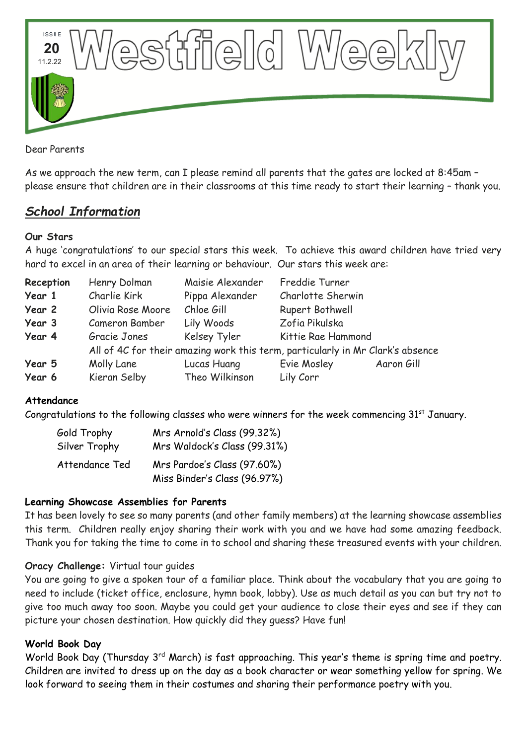

Dear Parents

As we approach the new term, can I please remind all parents that the gates are locked at 8:45am – please ensure that children are in their classrooms at this time ready to start their learning – thank you.

# *School Information*

## **Our Stars**

A huge 'congratulations' to our special stars this week. To achieve this award children have tried very hard to excel in an area of their learning or behaviour. Our stars this week are:

| Reception | Henry Dolman                                                                   | Maisie Alexander | Freddie Turner     |            |
|-----------|--------------------------------------------------------------------------------|------------------|--------------------|------------|
| Year 1    | Charlie Kirk                                                                   | Pippa Alexander  | Charlotte Sherwin  |            |
| Year 2    | Olivia Rose Moore                                                              | Chloe Gill       | Rupert Bothwell    |            |
| Year 3    | Cameron Bamber                                                                 | Lily Woods       | Zofia Pikulska     |            |
| Year 4    | Gracie Jones                                                                   | Kelsey Tyler     | Kittie Rae Hammond |            |
|           | All of 4C for their amazing work this term, particularly in Mr Clark's absence |                  |                    |            |
| Year 5    | Molly Lane                                                                     | Lucas Huang      | Evie Mosley        | Aaron Gill |
| Year 6    | Kieran Selby                                                                   | Theo Wilkinson   | Lily Corr          |            |

## **Attendance**

Congratulations to the following classes who were winners for the week commencing  $31<sup>st</sup>$  January.

| Gold Trophy    | Mrs Arnold's Class (99.32%)  |  |  |
|----------------|------------------------------|--|--|
| Silver Trophy  | Mrs Waldock's Class (99.31%) |  |  |
| Attendance Ted | Mrs Pardoe's Class (97.60%)  |  |  |
|                | Miss Binder's Class (96.97%) |  |  |

## **Learning Showcase Assemblies for Parents**

It has been lovely to see so many parents (and other family members) at the learning showcase assemblies this term. Children really enjoy sharing their work with you and we have had some amazing feedback. Thank you for taking the time to come in to school and sharing these treasured events with your children.

## **Oracy Challenge:** Virtual tour guides

You are going to give a spoken tour of a familiar place. Think about the vocabulary that you are going to need to include (ticket office, enclosure, hymn book, lobby). Use as much detail as you can but try not to give too much away too soon. Maybe you could get your audience to close their eyes and see if they can picture your chosen destination. How quickly did they guess? Have fun!

## **World Book Day**

World Book Day (Thursday 3<sup>rd</sup> March) is fast approaching. This year's theme is spring time and poetry. Children are invited to dress up on the day as a book character or wear something yellow for spring. We look forward to seeing them in their costumes and sharing their performance poetry with you.